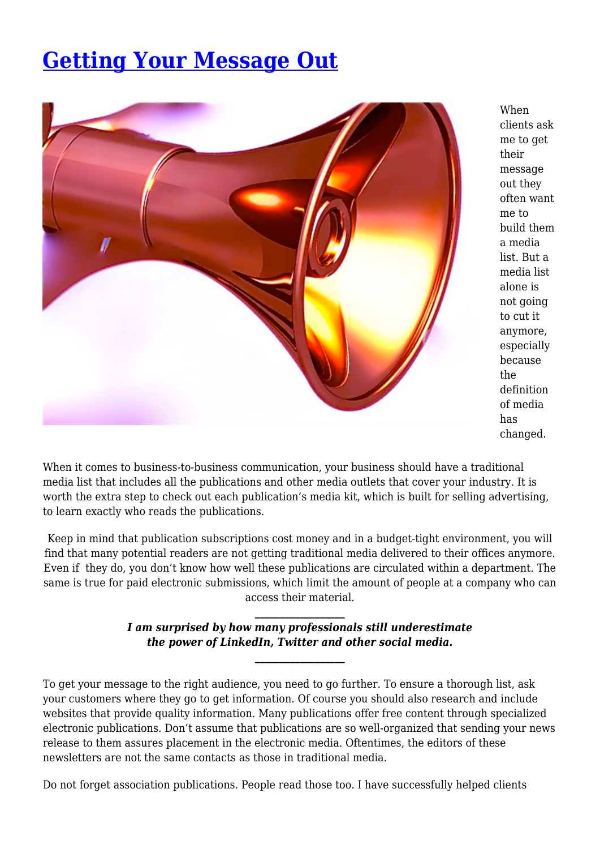## **[Getting Your Message Out](https://insurancecommunicators.com/getting-your-message-out/)**



When clients ask me to get their message out they often want me to build them a media list. But a media list alone is not going to cut it anymore, especially because the definition of media has changed.

When it comes to business-to-business communication, your business should have a traditional media list that includes all the publications and other media outlets that cover your industry. It is worth the extra step to check out each publication's media kit, which is built for selling advertising, to learn exactly who reads the publications.

Keep in mind that publication subscriptions cost money and in a budget-tight environment, you will find that many potential readers are not getting traditional media delivered to their offices anymore. Even if they do, you don't know how well these publications are circulated within a department. The same is true for paid electronic submissions, which limit the amount of people at a company who can access their material.

> *\_\_\_\_\_\_\_\_\_\_\_\_\_\_\_\_\_\_ I am surprised by how many professionals still underestimate the power of LinkedIn, Twitter and other social media.*

> > *\_\_\_\_\_\_\_\_\_\_\_\_\_\_\_\_\_\_*

To get your message to the right audience, you need to go further. To ensure a thorough list, ask your customers where they go to get information. Of course you should also research and include websites that provide quality information. Many publications offer free content through specialized electronic publications. Don't assume that publications are so well-organized that sending your news release to them assures placement in the electronic media. Oftentimes, the editors of these newsletters are not the same contacts as those in traditional media.

Do not forget association publications. People read those too. I have successfully helped clients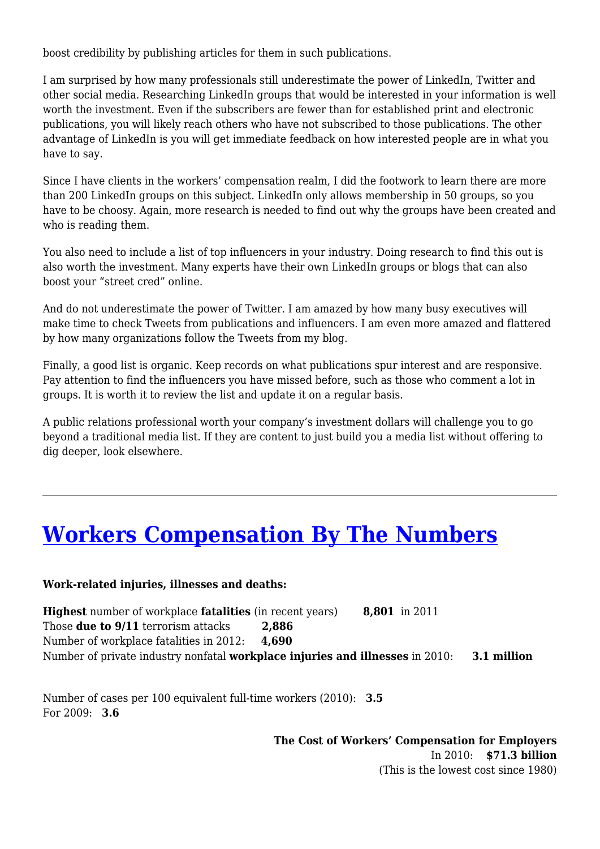boost credibility by publishing articles for them in such publications.

I am surprised by how many professionals still underestimate the power of LinkedIn, Twitter and other social media. Researching LinkedIn groups that would be interested in your information is well worth the investment. Even if the subscribers are fewer than for established print and electronic publications, you will likely reach others who have not subscribed to those publications. The other advantage of LinkedIn is you will get immediate feedback on how interested people are in what you have to say.

Since I have clients in the workers' compensation realm, I did the footwork to learn there are more than 200 LinkedIn groups on this subject. LinkedIn only allows membership in 50 groups, so you have to be choosy. Again, more research is needed to find out why the groups have been created and who is reading them.

You also need to include a list of top influencers in your industry. Doing research to find this out is also worth the investment. Many experts have their own LinkedIn groups or blogs that can also boost your "street cred" online.

And do not underestimate the power of Twitter. I am amazed by how many busy executives will make time to check Tweets from publications and influencers. I am even more amazed and flattered by how many organizations follow the Tweets from my blog.

Finally, a good list is organic. Keep records on what publications spur interest and are responsive. Pay attention to find the influencers you have missed before, such as those who comment a lot in groups. It is worth it to review the list and update it on a regular basis.

A public relations professional worth your company's investment dollars will challenge you to go beyond a traditional media list. If they are content to just build you a media list without offering to dig deeper, look elsewhere.

### **[Workers Compensation By The Numbers](https://insurancecommunicators.com/workers-compensation-by-the-numbers/)**

#### **Work-related injuries, illnesses and deaths:**

**Highest** number of workplace **fatalities** (in recent years) **8,801** in 2011 Those **due to 9/11** terrorism attacks **2,886** Number of workplace fatalities in 2012: **4,690** Number of private industry nonfatal **workplace injuries and illnesses** in 2010: **3.1 million** 

Number of cases per 100 equivalent full-time workers (2010): **3.5** For 2009: **3.6**

> **The Cost of Workers' Compensation for Employers** In 2010: **\$71.3 billion** (This is the lowest cost since 1980)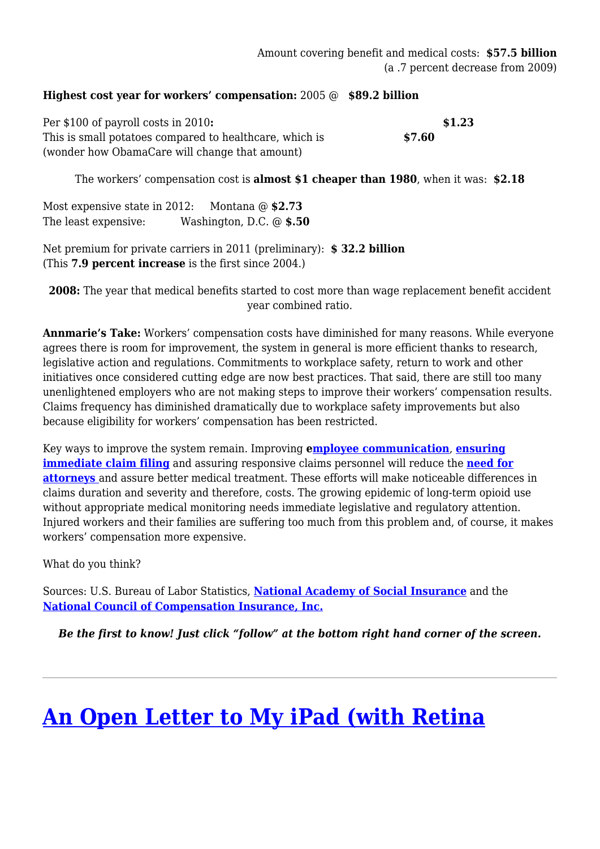#### **Highest cost year for workers' compensation:** 2005 @ **\$89.2 billion**

Per \$100 of payroll costs in 2010**:** \$1.23 This is small potatoes compared to healthcare, which is **\$7.60** (wonder how ObamaCare will change that amount)

The workers' compensation cost is **almost \$1 cheaper than 1980**, when it was: **\$2.18**

Most expensive state in 2012: Montana @ **\$2.73** The least expensive: Washington, D.C. @ **\$.50**

Net premium for private carriers in 2011 (preliminary): **\$ 32.2 billion** (This **7.9 percent increase** is the first since 2004.)

**2008:** The year that medical benefits started to cost more than wage replacement benefit accident year combined ratio.

**Annmarie's Take:** Workers' compensation costs have diminished for many reasons. While everyone agrees there is room for improvement, the system in general is more efficient thanks to research, legislative action and regulations. Commitments to workplace safety, return to work and other initiatives once considered cutting edge are now best practices. That said, there are still too many unenlightened employers who are not making steps to improve their workers' compensation results. Claims frequency has diminished dramatically due to workplace safety improvements but also because eligibility for workers' compensation has been restricted.

Key ways to improve the system remain. Improving **[employee communication](http://annmariecommunicatesinsurance.wordpress.com/2012/06/26/reduce-claim-filing-lag-time-through-effective-employee-communication-plans/)**, **[ensuring](http://annmariecommunicatesinsurance.wordpress.com/2012/08/01/how-supervisors-can-improve-the-workers-compensation-process/) [immediate claim filing](http://annmariecommunicatesinsurance.wordpress.com/2012/08/01/how-supervisors-can-improve-the-workers-compensation-process/)** and assuring responsive claims personnel will reduce the **[need for](http://annmariecommunicatesinsurance.wordpress.com/2012/09/18/why-injured-workers-hire-attorneys-and-what-employers-can-do-about-it/) [attorneys](http://annmariecommunicatesinsurance.wordpress.com/2012/09/18/why-injured-workers-hire-attorneys-and-what-employers-can-do-about-it/)** and assure better medical treatment. These efforts will make noticeable differences in claims duration and severity and therefore, costs. The growing epidemic of long-term opioid use without appropriate medical monitoring needs immediate legislative and regulatory attention. Injured workers and their families are suffering too much from this problem and, of course, it makes workers' compensation more expensive.

What do you think?

Sources: U.S. Bureau of Labor Statistics, **[National Academy of Social Insurance](https://www.nasi.org/research/2012/report-workers-compensation-benefits-coverage-costs-2010)** and the **[National Council of Compensation Insurance, Inc.](https://www.ncci.com/Documents/AIS-2012-SOL-Presentation.pdf)**

*Be the first to know! Just click "follow" at the bottom right hand corner of the screen.*

# **[An Open Letter to My iPad \(with Retina](https://insurancecommunicators.com/an-open-letter-to-my-ipad-with-retina-display/)**